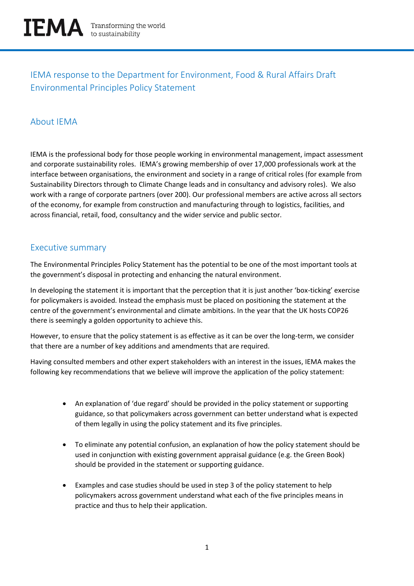

# IEMA response to the Department for Environment, Food & Rural Affairs Draft Environmental Principles Policy Statement

## About IEMA

IEMA is the professional body for those people working in environmental management, impact assessment and corporate sustainability roles. IEMA's growing membership of over 17,000 professionals work at the interface between organisations, the environment and society in a range of critical roles (for example from Sustainability Directors through to Climate Change leads and in consultancy and advisory roles). We also work with a range of corporate partners (over 200). Our professional members are active across all sectors of the economy, for example from construction and manufacturing through to logistics, facilities, and across financial, retail, food, consultancy and the wider service and public sector.

### Executive summary

The Environmental Principles Policy Statement has the potential to be one of the most important tools at the government's disposal in protecting and enhancing the natural environment.

In developing the statement it is important that the perception that it is just another 'box-ticking' exercise for policymakers is avoided. Instead the emphasis must be placed on positioning the statement at the centre of the government's environmental and climate ambitions. In the year that the UK hosts COP26 there is seemingly a golden opportunity to achieve this.

However, to ensure that the policy statement is as effective as it can be over the long-term, we consider that there are a number of key additions and amendments that are required.

Having consulted members and other expert stakeholders with an interest in the issues, IEMA makes the following key recommendations that we believe will improve the application of the policy statement:

- An explanation of 'due regard' should be provided in the policy statement or supporting guidance, so that policymakers across government can better understand what is expected of them legally in using the policy statement and its five principles.
- To eliminate any potential confusion, an explanation of how the policy statement should be used in conjunction with existing government appraisal guidance (e.g. the Green Book) should be provided in the statement or supporting guidance.
- Examples and case studies should be used in step 3 of the policy statement to help policymakers across government understand what each of the five principles means in practice and thus to help their application.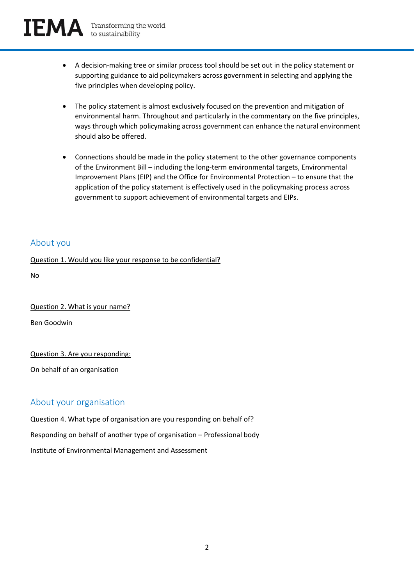



- A decision-making tree or similar process tool should be set out in the policy statement or supporting guidance to aid policymakers across government in selecting and applying the five principles when developing policy.
- The policy statement is almost exclusively focused on the prevention and mitigation of environmental harm. Throughout and particularly in the commentary on the five principles, ways through which policymaking across government can enhance the natural environment should also be offered.
- Connections should be made in the policy statement to the other governance components of the Environment Bill – including the long-term environmental targets, Environmental Improvement Plans (EIP) and the Office for Environmental Protection – to ensure that the application of the policy statement is effectively used in the policymaking process across government to support achievement of environmental targets and EIPs.

### About you

Question 1. Would you like your response to be confidential?

No

Question 2. What is your name?

Ben Goodwin

Question 3. Are you responding:

On behalf of an organisation

### About your organisation

Question 4. What type of organisation are you responding on behalf of? Responding on behalf of another type of organisation – Professional body Institute of Environmental Management and Assessment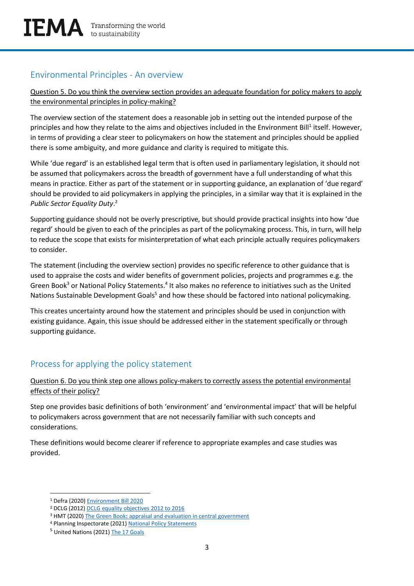## Environmental Principles - An overview

Question 5. Do you think the overview section provides an adequate foundation for policy makers to apply the environmental principles in policy-making?

The overview section of the statement does a reasonable job in setting out the intended purpose of the principles and how they relate to the aims and objectives included in the Environment Bill<sup>1</sup> itself. However, in terms of providing a clear steer to policymakers on how the statement and principles should be applied there is some ambiguity, and more guidance and clarity is required to mitigate this.

While 'due regard' is an established legal term that is often used in parliamentary legislation, it should not be assumed that policymakers across the breadth of government have a full understanding of what this means in practice. Either as part of the statement or in supporting guidance, an explanation of 'due regard' should be provided to aid policymakers in applying the principles, in a similar way that it is explained in the *Public Sector Equality Duty*. 2

Supporting guidance should not be overly prescriptive, but should provide practical insights into how 'due regard' should be given to each of the principles as part of the policymaking process. This, in turn, will help to reduce the scope that exists for misinterpretation of what each principle actually requires policymakers to consider.

The statement (including the overview section) provides no specific reference to other guidance that is used to appraise the costs and wider benefits of government policies, projects and programmes e.g. the Green Book<sup>3</sup> or National Policy Statements.<sup>4</sup> It also makes no reference to initiatives such as the United Nations Sustainable Development Goals<sup>5</sup> and how these should be factored into national policymaking.

This creates uncertainty around how the statement and principles should be used in conjunction with existing guidance. Again, this issue should be addressed either in the statement specifically or through supporting guidance.

## Process for applying the policy statement

#### Question 6. Do you think step one allows policy-makers to correctly assess the potential environmental effects of their policy?

Step one provides basic definitions of both 'environment' and 'environmental impact' that will be helpful to policymakers across government that are not necessarily familiar with such concepts and considerations.

These definitions would become clearer if reference to appropriate examples and case studies was provided.

<sup>1</sup> Defra (2020) [Environment Bill 2020](https://www.gov.uk/government/publications/environment-bill-2020/august-2020-environment-bill-environmental-targets)

<sup>2</sup> DCLG (2012[\) DCLG equality objectives 2012 to 2016](https://www.gov.uk/government/publications/dclg-equality-objectives-2012-to-2016)

<sup>&</sup>lt;sup>3</sup> HMT (2020) The Green Book: [appraisal and evaluation in central government](https://www.gov.uk/government/publications/the-green-book-appraisal-and-evaluation-in-central-governent)

<sup>4</sup> Planning Inspectorate (2021[\) National Policy Statements](https://infrastructure.planninginspectorate.gov.uk/legislation-and-advice/national-policy-statements/)

<sup>&</sup>lt;sup>5</sup> United Nations (2021[\) The 17 Goals](https://sdgs.un.org/goals)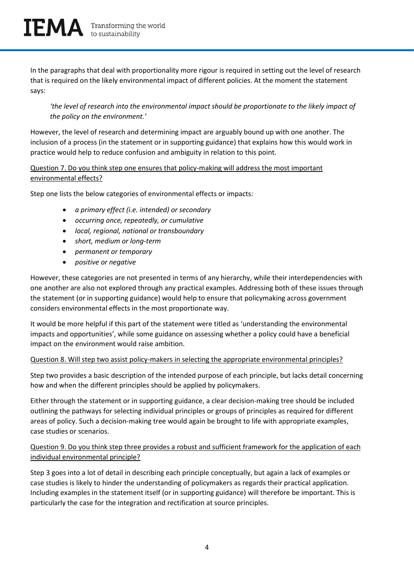In the paragraphs that deal with proportionality more rigour is required in setting out the level of research that is required on the likely environmental impact of different policies. At the moment the statement says:

*'the level of research into the environmental impact should be proportionate to the likely impact of the policy on the environment.'*

However, the level of research and determining impact are arguably bound up with one another. The inclusion of a process (in the statement or in supporting guidance) that explains how this would work in practice would help to reduce confusion and ambiguity in relation to this point.

#### Question 7. Do you think step one ensures that policy-making will address the most important environmental effects?

Step one lists the below categories of environmental effects or impacts:

- *a primary effect (i.e. intended) or secondary*
- *occurring once, repeatedly, or cumulative*
- *local, regional, national or transboundary*
- *short, medium or long-term*
- *permanent or temporary*
- *positive or negative*

However, these categories are not presented in terms of any hierarchy, while their interdependencies with one another are also not explored through any practical examples. Addressing both of these issues through the statement (or in supporting guidance) would help to ensure that policymaking across government considers environmental effects in the most proportionate way.

It would be more helpful if this part of the statement were titled as 'understanding the environmental impacts and opportunities', while some guidance on assessing whether a policy could have a beneficial impact on the environment would raise ambition.

#### Question 8. Will step two assist policy-makers in selecting the appropriate environmental principles?

Step two provides a basic description of the intended purpose of each principle, but lacks detail concerning how and when the different principles should be applied by policymakers.

Either through the statement or in supporting guidance, a clear decision-making tree should be included outlining the pathways for selecting individual principles or groups of principles as required for different areas of policy. Such a decision-making tree would again be brought to life with appropriate examples, case studies or scenarios.

Question 9. Do you think step three provides a robust and sufficient framework for the application of each individual environmental principle?

Step 3 goes into a lot of detail in describing each principle conceptually, but again a lack of examples or case studies is likely to hinder the understanding of policymakers as regards their practical application. Including examples in the statement itself (or in supporting guidance) will therefore be important. This is particularly the case for the integration and rectification at source principles.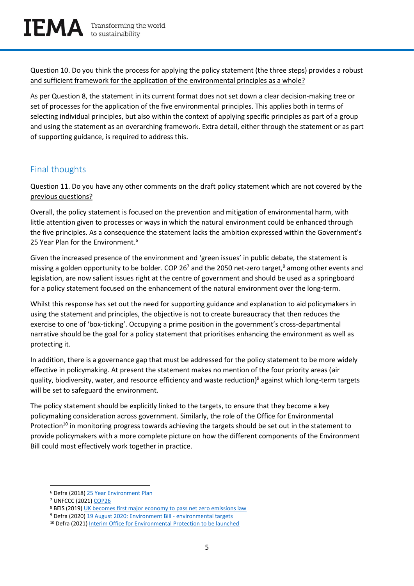Question 10. Do you think the process for applying the policy statement (the three steps) provides a robust and sufficient framework for the application of the environmental principles as a whole?

As per Question 8, the statement in its current format does not set down a clear decision-making tree or set of processes for the application of the five environmental principles. This applies both in terms of selecting individual principles, but also within the context of applying specific principles as part of a group and using the statement as an overarching framework. Extra detail, either through the statement or as part of supporting guidance, is required to address this.

## Final thoughts

Question 11. Do you have any other comments on the draft policy statement which are not covered by the previous questions?

Overall, the policy statement is focused on the prevention and mitigation of environmental harm, with little attention given to processes or ways in which the natural environment could be enhanced through the five principles. As a consequence the statement lacks the ambition expressed within the Government's 25 Year Plan for the Environment.<sup>6</sup>

Given the increased presence of the environment and 'green issues' in public debate, the statement is missing a golden opportunity to be bolder. COP 26<sup>7</sup> and the 2050 net-zero target,<sup>8</sup> among other events and legislation, are now salient issues right at the centre of government and should be used as a springboard for a policy statement focused on the enhancement of the natural environment over the long-term.

Whilst this response has set out the need for supporting guidance and explanation to aid policymakers in using the statement and principles, the objective is not to create bureaucracy that then reduces the exercise to one of 'box-ticking'. Occupying a prime position in the government's cross-departmental narrative should be the goal for a policy statement that prioritises enhancing the environment as well as protecting it.

In addition, there is a governance gap that must be addressed for the policy statement to be more widely effective in policymaking. At present the statement makes no mention of the four priority areas (air quality, biodiversity, water, and resource efficiency and waste reduction) <sup>9</sup> against which long-term targets will be set to safeguard the environment.

The policy statement should be explicitly linked to the targets, to ensure that they become a key policymaking consideration across government. Similarly, the role of the Office for Environmental Protection<sup>10</sup> in monitoring progress towards achieving the targets should be set out in the statement to provide policymakers with a more complete picture on how the different components of the Environment Bill could most effectively work together in practice.

<sup>6</sup> Defra (2018) [25 Year Environment Plan](https://www.gov.uk/government/publications/25-year-environment-plan)

<sup>7</sup> UNFCCC (2021) [COP26](https://ukcop26.org/)

<sup>8</sup> BEIS (2019[\) UK becomes first major economy to pass net zero emissions law](https://www.gov.uk/government/news/uk-becomes-first-major-economy-to-pass-net-zero-emissions-law)

<sup>9</sup> Defra (2020) [19 August 2020: Environment Bill -](https://www.gov.uk/government/publications/environment-bill-2020/august-2020-environment-bill-environmental-targets) environmental targets

<sup>&</sup>lt;sup>10</sup> Defra (2021) [Interim Office for Environmental Protection to be launched](https://www.gov.uk/government/news/interim-office-for-environmental-protection-to-be-launched)